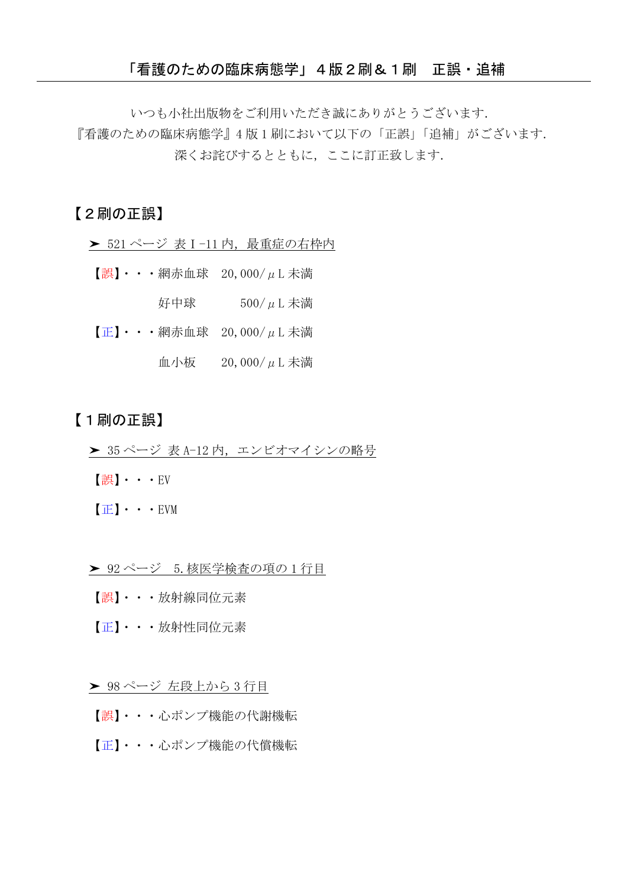いつも小社出版物をご利用いただき誠にありがとうございます.

『看護のための臨床病態学』4 版 1 刷において以下の「正誤」「追補」がございます. 深くお詫びするとともに、ここに訂正致します.

## 【2刷の正誤】

- > 521 ページ 表 I-11 内, 最重症の右枠内
- 【誤】・・・網赤血球 20,000/μL 未満 好中球  $500/\mu$ L 未満
- $[\mathbf{E}] \cdot \cdot \cdot \mathcal{H}$ 赤血球 20,000/ $\mu$ L 未満 血小板 20,000/μL 未満

## 【1刷の正誤】

- > 35 ページ 表 A-12 内, エンビオマイシンの略号
- 【誤】・・・EV
- 【正】・・・EVM
- ▶ 92 ページ 5. 核医学検査の項の 1 行目
- 【誤】・・・放射線同位元素
- 【正】・・・放射性同位元素

▶ 98 ページ 左段上から 3 行目

- 【誤】・・・心ポンプ機能の代謝機転
- 【正】・・・心ポンプ機能の代償機転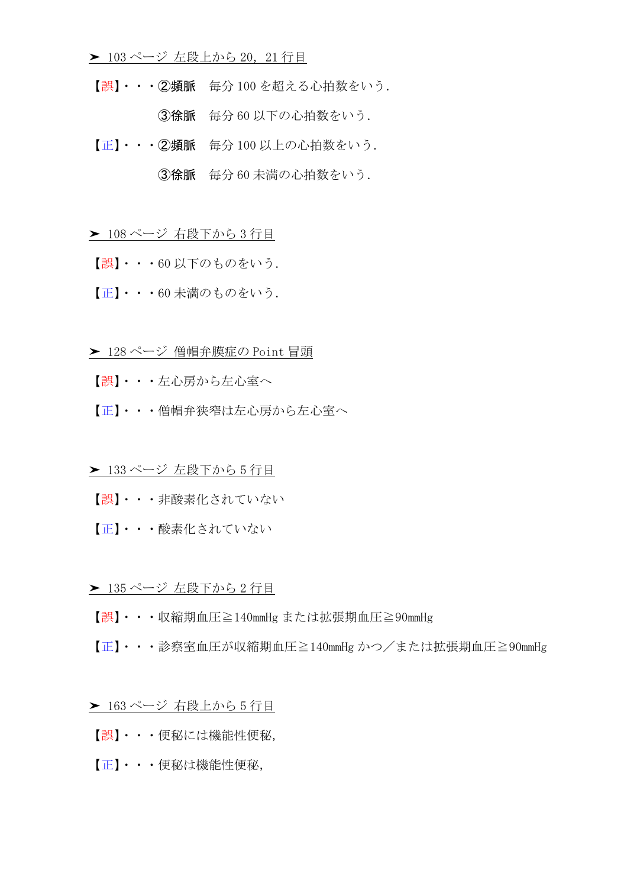- ▶ 103ページ 左段上から 20, 21 行目
	- 【誤】・・・②頻脈 毎分 100 を超える心拍数をいう. ③徐脈 毎分 60 以下の心拍数をいう.
	- 【正】・・・②頻脈 毎分 100 以上の心拍数をいう.

③徐脈 毎分 60 未満の心拍数をいう.

➤ 108 ページ 右段下から 3 行目

- 【誤】・・・60 以下のものをいう.
- 【正】・・・60 未満のものをいう.
- **► 128 ページ 僧帽弁膜症の Point 冒頭**
- 【誤】・・・左心房から左心室へ
- 【正】・・・僧帽弁狭窄は左心房から左心室へ

▶ 133 ページ 左段下から5行目

- 【誤】・・・非酸素化されていない
- 【正】・・・酸素化されていない

## ▶ 135 ページ 左段下から2行目

- 【誤】・・・収縮期血圧≧140mmHg または拡張期血圧≧90mmHg
- 【正】・・・診察室血圧が収縮期血圧≧140mmHg かつ/または拡張期血圧≧90mmHg
- ➤ 163 ページ 右段上から 5 行目
- 【誤】・・・便秘には機能性便秘,
- 【正】・・・便秘は機能性便秘,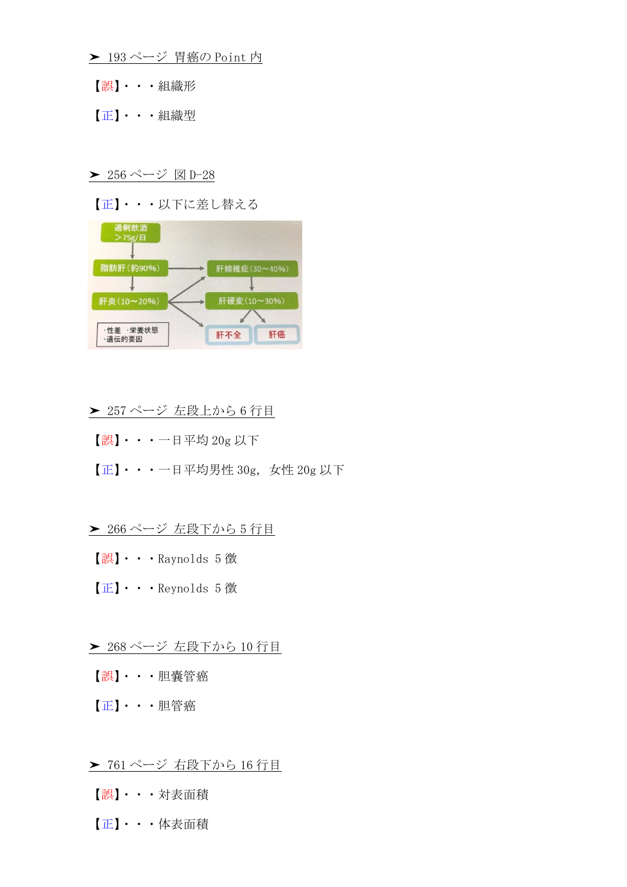- **►** 193 ページ 胃癌の Point 内
- 【誤】・・・組織形
- 【正】・・・組織型
- **►** 256 ページ 図 D-28
- 【正】・・・以下に差し替える



### ▶ 257 ページ 左段上から6行目

- 【誤】・・・一日平均 20g 以下
- $[\mathbf{E}] \cdot \cdot \cdot -$ 日平均男性 30g, 女性 20g 以下
- ▶ 266 ページ 左段下から5行目
	- 【誤】・・・Raynolds 5 徴
	- 【正】・・・Reynolds 5 徴
- ▶ 268 ページ 左段下から 10 行目
- 【誤】・・・胆嚢管癌
- 【正】・・・胆管癌
- ▶ 761 ページ 右段下から 16 行目
- 【誤】・・・対表面積
- 【正】・・・体表面積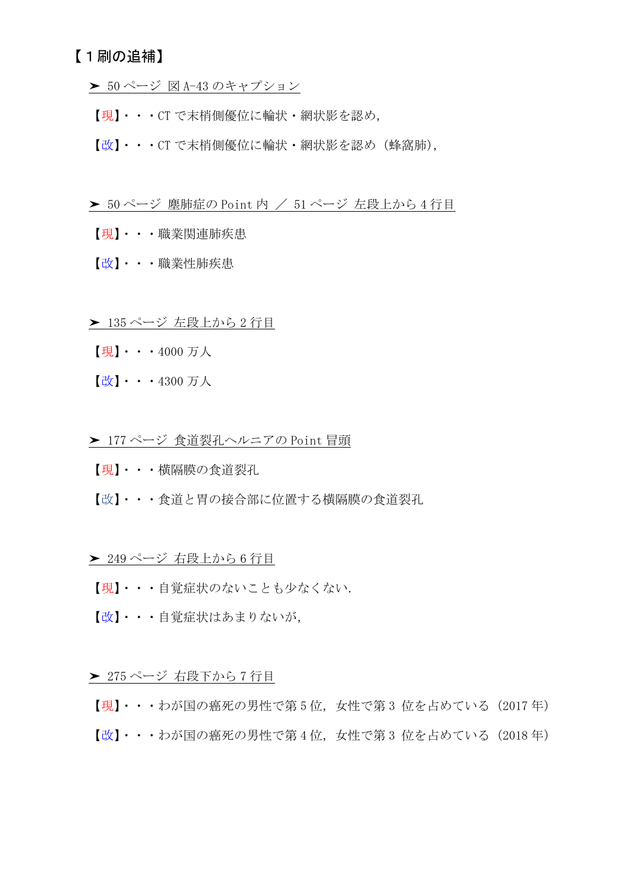# 【1刷の追補】

- **►** 50 ページ 図 A-43 のキャプション
- 【現】・・・CT で末梢側優位に輪状・網状影を認め,
- 【改】・・・CT で末梢側優位に輪状・網状影を認め(蜂窩肺),
- **≻** 50 ページ 塵肺症の Point 内 / 51 ページ 左段上から 4 行目
- 【現】・・・職業関連肺疾患
- 【改】・・・職業性肺疾患
- ▶ 135 ページ 左段上から2行目
- 【現】・・・4000 万人
- 【改】・・・4300 万人
- **► 177 ページ 食道裂孔ヘルニアの Point 冒頭**
- 【現】・・・横隔膜の食道裂孔
- 【改】・・・食道と胃の接合部に位置する横隔膜の食道裂孔

#### ▶ 249 ページ 右段上から6行目

- 【現】・・・自覚症状のないことも少なくない.
- 【改】・・・自覚症状はあまりないが,

#### ▶ 275 ページ 右段下から7行目

【現】・・・わが国の癌死の男性で第 5 位,女性で第 3 位を占めている(2017 年) 【改】・・・わが国の癌死の男性で第4位,女性で第3位を占めている(2018年)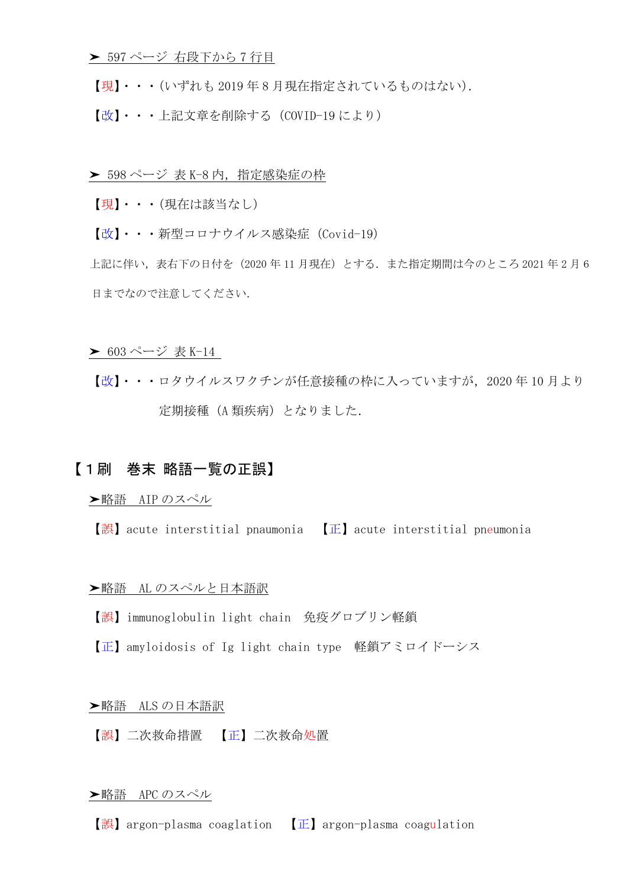- ▶ 597 ページ 右段下から7行目
- 【現】・・・(いずれも 2019 年 8 月現在指定されているものはない).
- 【改】・・・上記文章を削除する(COVID-19 により)
- > 598 ページ 表 K-8 内, 指定感染症の枠
- 【現】・・・(現在は該当なし)
- 【改】・・・新型コロナウイルス感染症(Covid-19)

上記に伴い,表右下の日付を(2020 年 11 月現在)とする.また指定期間は今のところ 2021 年 2 月 6 日までなので注意してください.

- **►** 603 ページ 表 K-14
- 【改】・・・ロタウイルスワクチンが任意接種の枠に入っていますが,2020 年 10 月より 定期接種 (A 類疾病)となりました.

## 【1刷 巻末 略語一覧の正誤】

#### ➤略語 AIP のスペル

【誤】acute interstitial pnaumonia 【正】acute interstitial pneumonia

#### >略語 AL のスペルと日本語訳

- 【誤】immunoglobulin light chain 免疫グロブリン軽鎖
- 【正】amyloidosis of Ig light chain type 軽鎖アミロイドーシス

#### **▶略語 ALS の日本語訳**

【誤】二次救命措置 【正】二次救命処置

#### ➤略語 APC のスペル

【誤】argon-plasma coaglation 【正】argon-plasma coagulation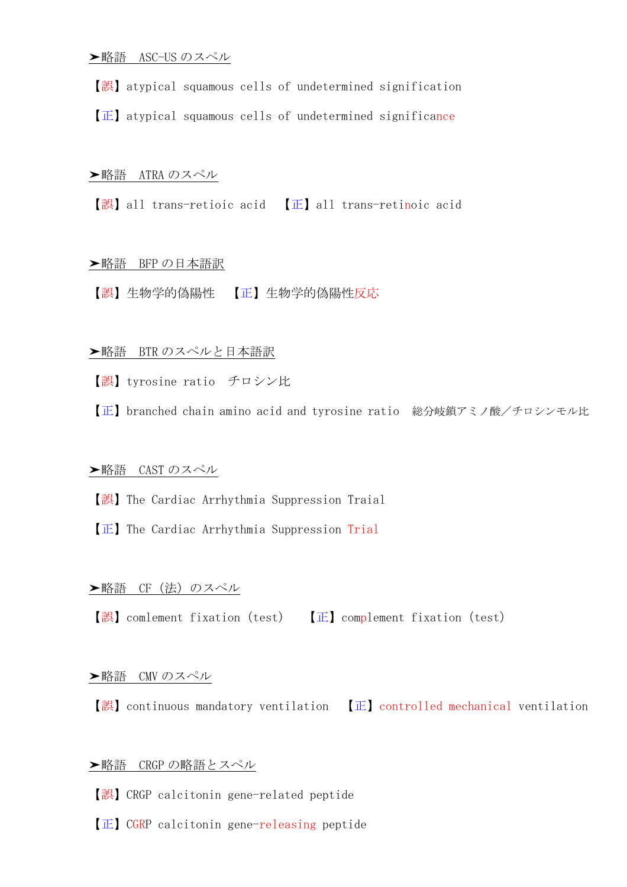【誤】atypical squamous cells of undetermined signification

【正】atypical squamous cells of undetermined significance

#### **►略語 ATRA のスペル**

【誤】all trans-retioic acid 【正】all trans-retinoic acid

#### >略語 BFP の日本語訳

【誤】生物学的偽陽性 【正】生物学的偽陽性反応

### ▶略語 BTR のスペルと日本語訳

【誤】tyrosine ratio チロシン比

【正】branched chain amino acid and tyrosine ratio 総分岐鎖アミノ酸/チロシンモル比

### **►略語 CAST のスペル**

【誤】The Cardiac Arrhythmia Suppression Traial

【正】The Cardiac Arrhythmia Suppression Trial

### **▶略語 CF (法) のスペル**

【誤】comlement fixation(test) 【正】complement fixation(test)

#### ➤略語 CMV のスペル

【誤】continuous mandatory ventilation 【正】controlled mechanical ventilation

#### **▶略語 CRGP の略語とスペル**

- 【誤】CRGP calcitonin gene-related peptide
- 【正】CGRP calcitonin gene-releasing peptide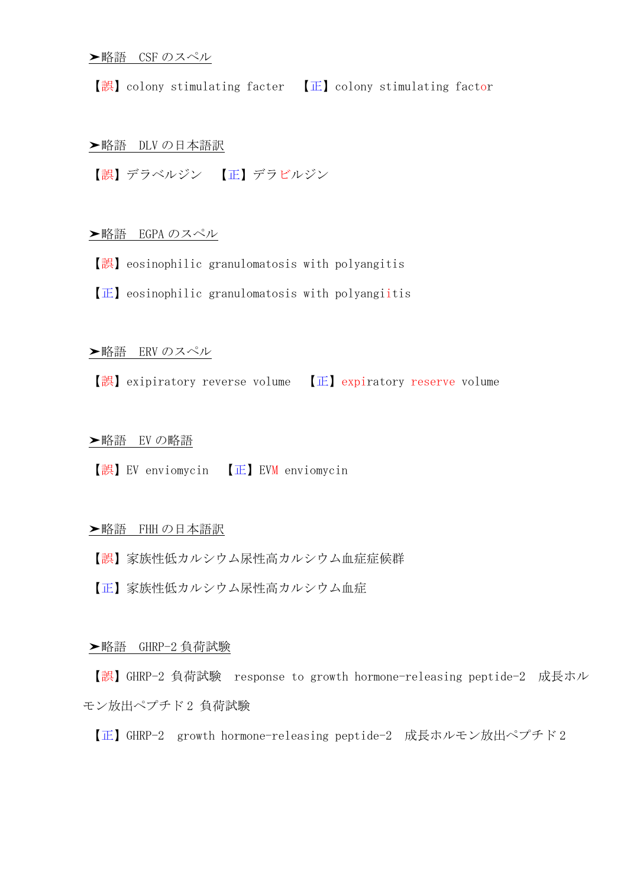【誤】colony stimulating facter 【正】colony stimulating factor

### ➤略語 DLV の日本語訳

【誤】デラベルジン 【正】デラビルジン

**▶略語 EGPAのスペル** 

- 【誤】eosinophilic granulomatosis with polyangitis
- 【正】eosinophilic granulomatosis with polyangiitis

### **▶略語 ERV のスペル**

【誤】exipiratory reverse volume 【正】expiratory reserve volume

#### **➤略語 EVの略語**

【誤】EV enviomycin 【正】EVM enviomycin

#### **▶略語 FHH の日本語訳**

- 【誤】家族性低カルシウム尿性高カルシウム血症症候群
- 【正】家族性低カルシウム尿性高カルシウム血症

#### ➤略語 GHRP-2 負荷試験

【誤】GHRP-2 負荷試験 response to growth hormone-releasing peptide-2 成長ホル モン放出ペプチド2負荷試験

【正】GHRP-2 growth hormone-releasing peptide-2 成長ホルモン放出ペプチド 2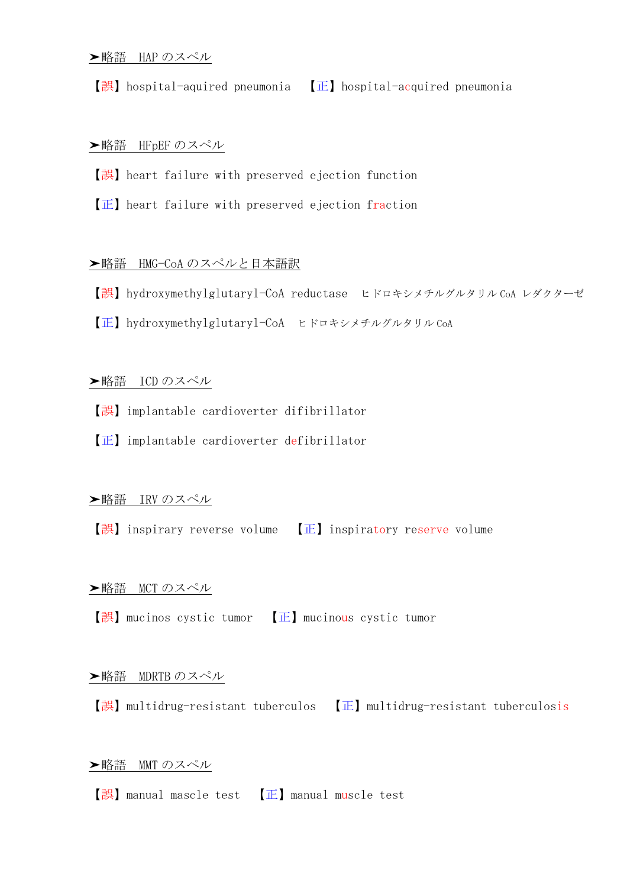【誤】hospital-aquired pneumonia 【正】hospital-acquired pneumonia

### **►略語 HFpEF のスペル**

- 【誤】heart failure with preserved ejection function
- 【正】heart failure with preserved ejection fraction

#### **▶略語 HMG-CoA のスペルと日本語訳**

- 【誤】hydroxymethylglutaryl-CoA reductase ヒドロキシメチルグルタリル CoA レダクターゼ
- 【正】hydroxymethylglutaryl-CoA ヒドロキシメチルグルタリル CoA

#### **▶略語 ICD のスペル**

- 【誤】implantable cardioverter difibrillator
- 【正】implantable cardioverter defibrillator

#### **▶略語 IRV のスペル**

【誤】inspirary reverse volume 【正】inspiratory reserve volume

### **►略語 MCT のスペル**

【誤】mucinos cystic tumor 【正】mucinous cystic tumor

#### **►略語 MDRTB のスペル**

【誤】multidrug-resistant tuberculos 【正】multidrug-resistant tuberculosis

#### ➤略語 MMT のスペル

【誤】manual mascle test 【正】manual muscle test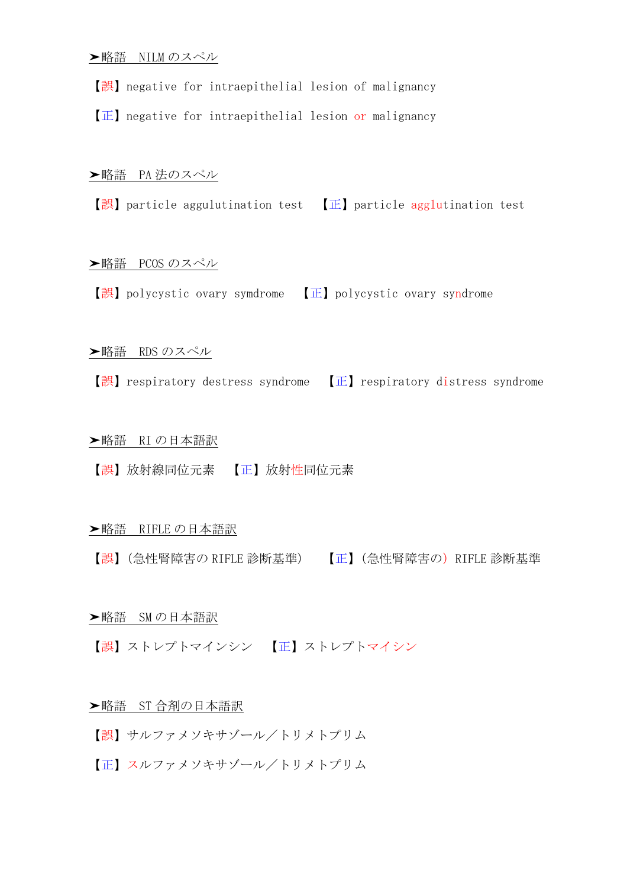【誤】negative for intraepithelial lesion of malignancy

【正】negative for intraepithelial lesion or malignancy

#### **▶略語 PA 法のスペル**

【誤】 particle aggulutination test 【正】 particle agglutination test

#### **►略語 PCOS のスペル**

【誤】polycystic ovary symdrome 【正】polycystic ovary syndrome

#### **►略語 RDS のスペル**

【誤】respiratory destress syndrome 【正】respiratory distress syndrome

#### **▶略語 RIの日本語訳**

【誤】放射線同位元素 【正】放射性同位元素

### **▶略語 RIFLE の日本語訳**

【誤】(急性腎障害の RIFLE 診断基準) 【正】(急性腎障害の)RIFLE 診断基準

#### ➤略語 SM の日本語訳

【誤】ストレプトマインシン 【正】ストレプトマイシン

### **▶略語 ST 合剤の日本語訳**

- 【誤】サルファメソキサゾール/トリメトプリム
- 【正】スルファメソキサゾール/トリメトプリム